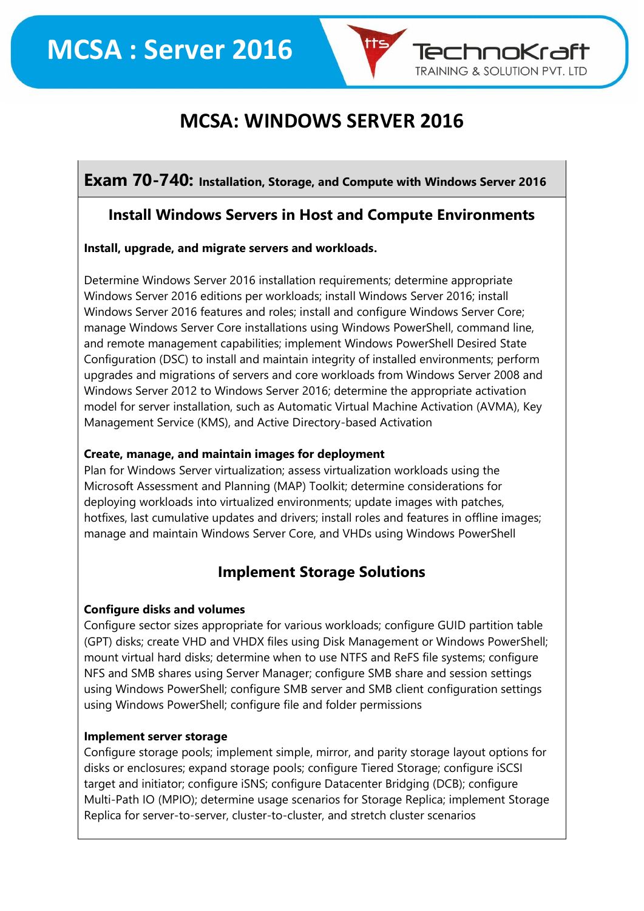

TechnoKraft **TRAINING & SOLUTION PVT. LTD** 

## **Exam 70-740: Installation, Storage, and Compute with Windows Server 2016**

#### **Install Windows Servers in Host and Compute Environments**

#### **Install, upgrade, and migrate servers and workloads.**

Determine Windows Server 2016 installation requirements; determine appropriate Windows Server 2016 editions per workloads; install Windows Server 2016; install Windows Server 2016 features and roles; install and configure Windows Server Core; manage Windows Server Core installations using Windows PowerShell, command line, and remote management capabilities; implement Windows PowerShell Desired State Configuration (DSC) to install and maintain integrity of installed environments; perform upgrades and migrations of servers and core workloads from Windows Server 2008 and Windows Server 2012 to Windows Server 2016; determine the appropriate activation model for server installation, such as Automatic Virtual Machine Activation (AVMA), Key Management Service (KMS), and Active Directory-based Activation

#### **Create, manage, and maintain images for deployment**

Plan for Windows Server virtualization; assess virtualization workloads using the Microsoft Assessment and Planning (MAP) Toolkit; determine considerations for deploying workloads into virtualized environments; update images with patches, hotfixes, last cumulative updates and drivers; install roles and features in offline images; manage and maintain Windows Server Core, and VHDs using Windows PowerShell

#### **Implement Storage Solutions**

#### **Configure disks and volumes**

Configure sector sizes appropriate for various workloads; configure GUID partition table (GPT) disks; create VHD and VHDX files using Disk Management or Windows PowerShell; mount virtual hard disks; determine when to use NTFS and ReFS file systems; configure NFS and SMB shares using Server Manager; configure SMB share and session settings using Windows PowerShell; configure SMB server and SMB client configuration settings using Windows PowerShell; configure file and folder permissions

#### **Implement server storage**

Configure storage pools; implement simple, mirror, and parity storage layout options for disks or enclosures; expand storage pools; configure Tiered Storage; configure iSCSI target and initiator; configure iSNS; configure Datacenter Bridging (DCB); configure Multi-Path IO (MPIO); determine usage scenarios for Storage Replica; implement Storage Replica for server-to-server, cluster-to-cluster, and stretch cluster scenarios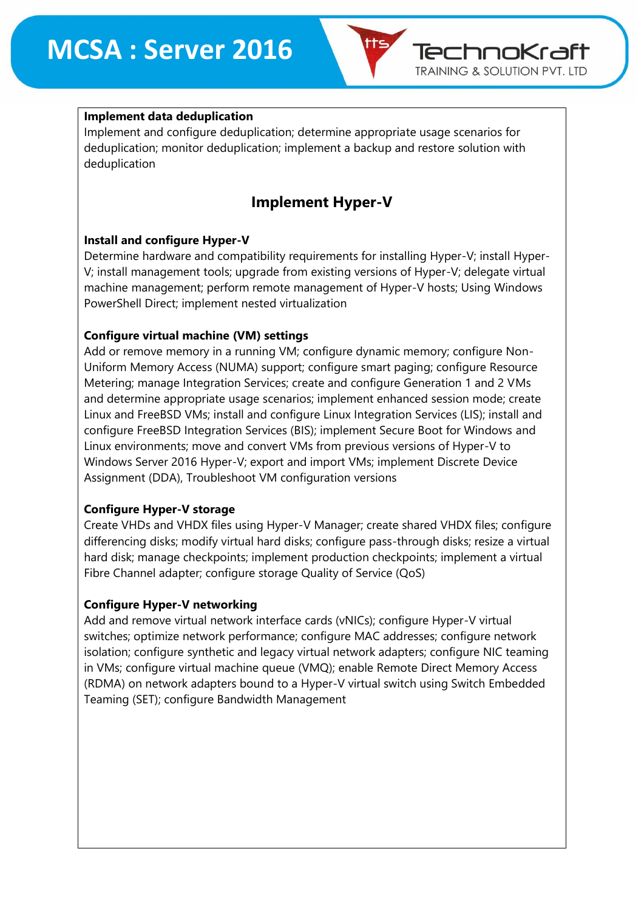

#### **Implement data deduplication**

Implement and configure deduplication; determine appropriate usage scenarios for deduplication; monitor deduplication; implement a backup and restore solution with deduplication

# **Implement Hyper-V**

#### **Install and configure Hyper-V**

Determine hardware and compatibility requirements for installing Hyper-V; install Hyper-V; install management tools; upgrade from existing versions of Hyper-V; delegate virtual machine management; perform remote management of Hyper-V hosts; Using Windows PowerShell Direct; implement nested virtualization

#### **Configure virtual machine (VM) settings**

Add or remove memory in a running VM; configure dynamic memory; configure Non-Uniform Memory Access (NUMA) support; configure smart paging; configure Resource Metering; manage Integration Services; create and configure Generation 1 and 2 VMs and determine appropriate usage scenarios; implement enhanced session mode; create Linux and FreeBSD VMs; install and configure Linux Integration Services (LIS); install and configure FreeBSD Integration Services (BIS); implement Secure Boot for Windows and Linux environments; move and convert VMs from previous versions of Hyper-V to Windows Server 2016 Hyper-V; export and import VMs; implement Discrete Device Assignment (DDA), Troubleshoot VM configuration versions

#### **Configure Hyper-V storage**

Create VHDs and VHDX files using Hyper-V Manager; create shared VHDX files; configure differencing disks; modify virtual hard disks; configure pass-through disks; resize a virtual hard disk; manage checkpoints; implement production checkpoints; implement a virtual Fibre Channel adapter; configure storage Quality of Service (QoS)

#### **Configure Hyper-V networking**

Add and remove virtual network interface cards (vNICs); configure Hyper-V virtual switches; optimize network performance; configure MAC addresses; configure network isolation; configure synthetic and legacy virtual network adapters; configure NIC teaming in VMs; configure virtual machine queue (VMQ); enable Remote Direct Memory Access (RDMA) on network adapters bound to a Hyper-V virtual switch using Switch Embedded Teaming (SET); configure Bandwidth Management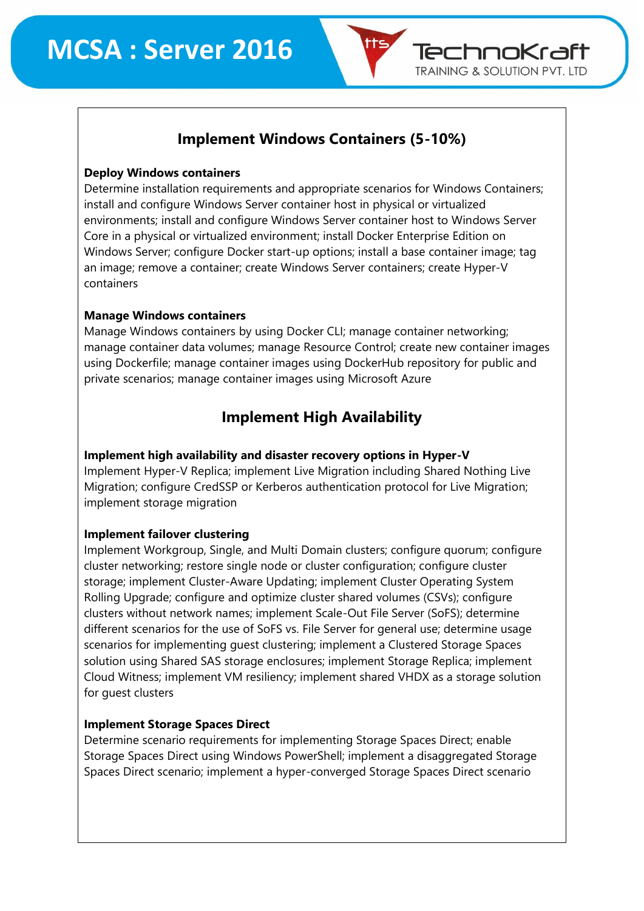

# **Implement Windows Containers (5-10%)**

#### **Deploy Windows containers**

Determine installation requirements and appropriate scenarios for Windows Containers; install and configure Windows Server container host in physical or virtualized environments; install and configure Windows Server container host to Windows Server Core in a physical or virtualized environment; install Docker Enterprise Edition on Windows Server; configure Docker start-up options; install a base container image; tag an image; remove a container; create Windows Server containers; create Hyper-V containers

#### **Manage Windows containers**

Manage Windows containers by using Docker CLI; manage container networking; manage container data volumes; manage Resource Control; create new container images using Dockerfile; manage container images using DockerHub repository for public and private scenarios; manage container images using Microsoft Azure

# **Implement High Availability**

#### **Implement high availability and disaster recovery options in Hyper-V**

Implement Hyper-V Replica; implement Live Migration including Shared Nothing Live Migration; configure CredSSP or Kerberos authentication protocol for Live Migration; implement storage migration

#### **Implement failover clustering**

Implement Workgroup, Single, and Multi Domain clusters; configure quorum; configure cluster networking; restore single node or cluster configuration; configure cluster storage; implement Cluster-Aware Updating; implement Cluster Operating System Rolling Upgrade; configure and optimize cluster shared volumes (CSVs); configure clusters without network names; implement Scale-Out File Server (SoFS); determine different scenarios for the use of SoFS vs. File Server for general use; determine usage scenarios for implementing guest clustering; implement a Clustered Storage Spaces solution using Shared SAS storage enclosures; implement Storage Replica; implement Cloud Witness; implement VM resiliency; implement shared VHDX as a storage solution for guest clusters

#### **Implement Storage Spaces Direct**

Determine scenario requirements for implementing Storage Spaces Direct; enable Storage Spaces Direct using Windows PowerShell; implement a disaggregated Storage Spaces Direct scenario; implement a hyper-converged Storage Spaces Direct scenario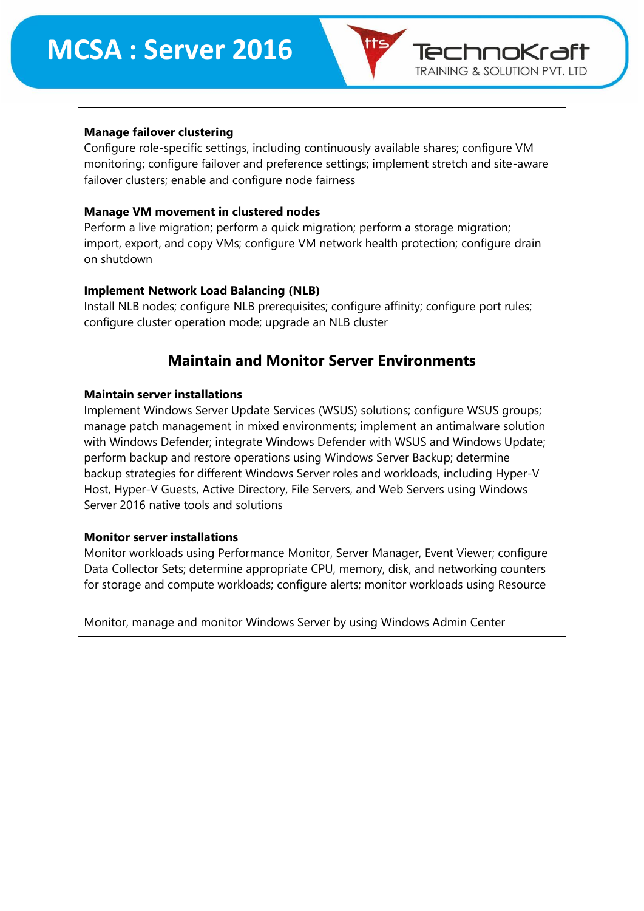

#### **Manage failover clustering**

Configure role-specific settings, including continuously available shares; configure VM monitoring; configure failover and preference settings; implement stretch and site-aware failover clusters; enable and configure node fairness

#### **Manage VM movement in clustered nodes**

Perform a live migration; perform a quick migration; perform a storage migration; import, export, and copy VMs; configure VM network health protection; configure drain on shutdown

#### **Implement Network Load Balancing (NLB)**

Install NLB nodes; configure NLB prerequisites; configure affinity; configure port rules; configure cluster operation mode; upgrade an NLB cluster

# **Maintain and Monitor Server Environments**

#### **Maintain server installations**

Implement Windows Server Update Services (WSUS) solutions; configure WSUS groups; manage patch management in mixed environments; implement an antimalware solution with Windows Defender; integrate Windows Defender with WSUS and Windows Update; perform backup and restore operations using Windows Server Backup; determine backup strategies for different Windows Server roles and workloads, including Hyper-V Host, Hyper-V Guests, Active Directory, File Servers, and Web Servers using Windows Server 2016 native tools and solutions

#### **Monitor server installations**

Monitor workloads using Performance Monitor, Server Manager, Event Viewer; configure Data Collector Sets; determine appropriate CPU, memory, disk, and networking counters for storage and compute workloads; configure alerts; monitor workloads using Resource

Monitor, manage and monitor Windows Server by using Windows Admin Center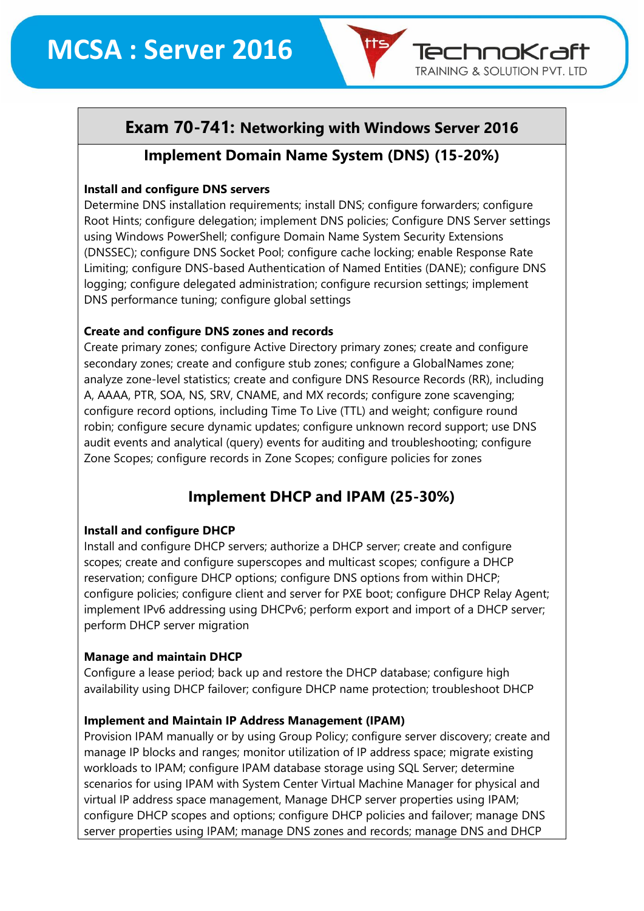# **Exam 70-741: Networking with Windows Server 2016**

TechnoKraft **TRAINING & SOLUTION PVT. LTD** 

## **Implement Domain Name System (DNS) (15-20%)**

#### **Install and configure DNS servers**

Determine DNS installation requirements; install DNS; configure forwarders; configure Root Hints; configure delegation; implement DNS policies; Configure DNS Server settings using Windows PowerShell; configure Domain Name System Security Extensions (DNSSEC); configure DNS Socket Pool; configure cache locking; enable Response Rate Limiting; configure DNS-based Authentication of Named Entities (DANE); configure DNS logging; configure delegated administration; configure recursion settings; implement DNS performance tuning; configure global settings

#### **Create and configure DNS zones and records**

Create primary zones; configure Active Directory primary zones; create and configure secondary zones; create and configure stub zones; configure a GlobalNames zone; analyze zone-level statistics; create and configure DNS Resource Records (RR), including A, AAAA, PTR, SOA, NS, SRV, CNAME, and MX records; configure zone scavenging; configure record options, including Time To Live (TTL) and weight; configure round robin; configure secure dynamic updates; configure unknown record support; use DNS audit events and analytical (query) events for auditing and troubleshooting; configure Zone Scopes; configure records in Zone Scopes; configure policies for zones

# **Implement DHCP and IPAM (25-30%)**

#### **Install and configure DHCP**

Install and configure DHCP servers; authorize a DHCP server; create and configure scopes; create and configure superscopes and multicast scopes; configure a DHCP reservation; configure DHCP options; configure DNS options from within DHCP; configure policies; configure client and server for PXE boot; configure DHCP Relay Agent; implement IPv6 addressing using DHCPv6; perform export and import of a DHCP server; perform DHCP server migration

#### **Manage and maintain DHCP**

Configure a lease period; back up and restore the DHCP database; configure high availability using DHCP failover; configure DHCP name protection; troubleshoot DHCP

#### **Implement and Maintain IP Address Management (IPAM)**

Provision IPAM manually or by using Group Policy; configure server discovery; create and manage IP blocks and ranges; monitor utilization of IP address space; migrate existing workloads to IPAM; configure IPAM database storage using SQL Server; determine scenarios for using IPAM with System Center Virtual Machine Manager for physical and virtual IP address space management, Manage DHCP server properties using IPAM; configure DHCP scopes and options; configure DHCP policies and failover; manage DNS server properties using IPAM; manage DNS zones and records; manage DNS and DHCP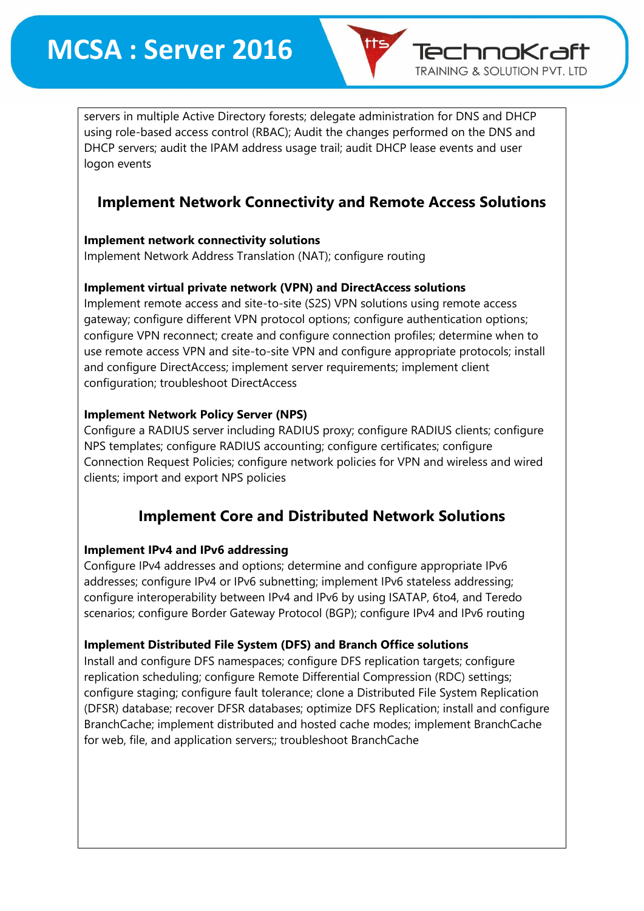TechnoKraft **TRAINING & SOLUTION PVT. LTD** 

servers in multiple Active Directory forests; delegate administration for DNS and DHCP using role-based access control (RBAC); Audit the changes performed on the DNS and DHCP servers; audit the IPAM address usage trail; audit DHCP lease events and user logon events

# **Implement Network Connectivity and Remote Access Solutions**

#### **Implement network connectivity solutions**

Implement Network Address Translation (NAT); configure routing

#### **Implement virtual private network (VPN) and DirectAccess solutions**

Implement remote access and site-to-site (S2S) VPN solutions using remote access gateway; configure different VPN protocol options; configure authentication options; configure VPN reconnect; create and configure connection profiles; determine when to use remote access VPN and site-to-site VPN and configure appropriate protocols; install and configure DirectAccess; implement server requirements; implement client configuration; troubleshoot DirectAccess

#### **Implement Network Policy Server (NPS)**

Configure a RADIUS server including RADIUS proxy; configure RADIUS clients; configure NPS templates; configure RADIUS accounting; configure certificates; configure Connection Request Policies; configure network policies for VPN and wireless and wired clients; import and export NPS policies

# **Implement Core and Distributed Network Solutions**

#### **Implement IPv4 and IPv6 addressing**

Configure IPv4 addresses and options; determine and configure appropriate IPv6 addresses; configure IPv4 or IPv6 subnetting; implement IPv6 stateless addressing; configure interoperability between IPv4 and IPv6 by using ISATAP, 6to4, and Teredo scenarios; configure Border Gateway Protocol (BGP); configure IPv4 and IPv6 routing

#### **Implement Distributed File System (DFS) and Branch Office solutions**

Install and configure DFS namespaces; configure DFS replication targets; configure replication scheduling; configure Remote Differential Compression (RDC) settings; configure staging; configure fault tolerance; clone a Distributed File System Replication (DFSR) database; recover DFSR databases; optimize DFS Replication; install and configure BranchCache; implement distributed and hosted cache modes; implement BranchCache for web, file, and application servers;; troubleshoot BranchCache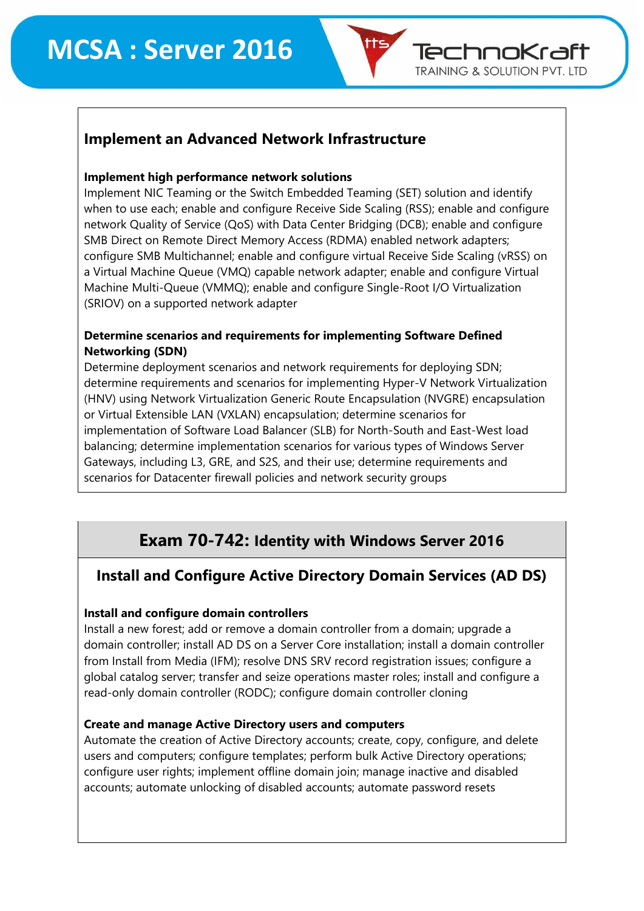

#### **Implement high performance network solutions**

Implement NIC Teaming or the Switch Embedded Teaming (SET) solution and identify when to use each; enable and configure Receive Side Scaling (RSS); enable and configure network Quality of Service (QoS) with Data Center Bridging (DCB); enable and configure SMB Direct on Remote Direct Memory Access (RDMA) enabled network adapters; configure SMB Multichannel; enable and configure virtual Receive Side Scaling (vRSS) on a Virtual Machine Queue (VMQ) capable network adapter; enable and configure Virtual Machine Multi-Queue (VMMQ); enable and configure Single-Root I/O Virtualization (SRIOV) on a supported network adapter

TechnoKraft **TRAINING & SOLUTION PVT. LTD** 

#### **Determine scenarios and requirements for implementing Software Defined Networking (SDN)**

Determine deployment scenarios and network requirements for deploying SDN; determine requirements and scenarios for implementing Hyper-V Network Virtualization (HNV) using Network Virtualization Generic Route Encapsulation (NVGRE) encapsulation or Virtual Extensible LAN (VXLAN) encapsulation; determine scenarios for implementation of Software Load Balancer (SLB) for North-South and East-West load balancing; determine implementation scenarios for various types of Windows Server Gateways, including L3, GRE, and S2S, and their use; determine requirements and scenarios for Datacenter firewall policies and network security groups

# **Exam 70-742: Identity with Windows Server 2016**

# **Install and Configure Active Directory Domain Services (AD DS)**

#### **Install and configure domain controllers**

Install a new forest; add or remove a domain controller from a domain; upgrade a domain controller; install AD DS on a Server Core installation; install a domain controller from Install from Media (IFM); resolve DNS SRV record registration issues; configure a global catalog server; transfer and seize operations master roles; install and configure a read-only domain controller (RODC); configure domain controller cloning

#### **Create and manage Active Directory users and computers**

Automate the creation of Active Directory accounts; create, copy, configure, and delete users and computers; configure templates; perform bulk Active Directory operations; configure user rights; implement offline domain join; manage inactive and disabled accounts; automate unlocking of disabled accounts; automate password resets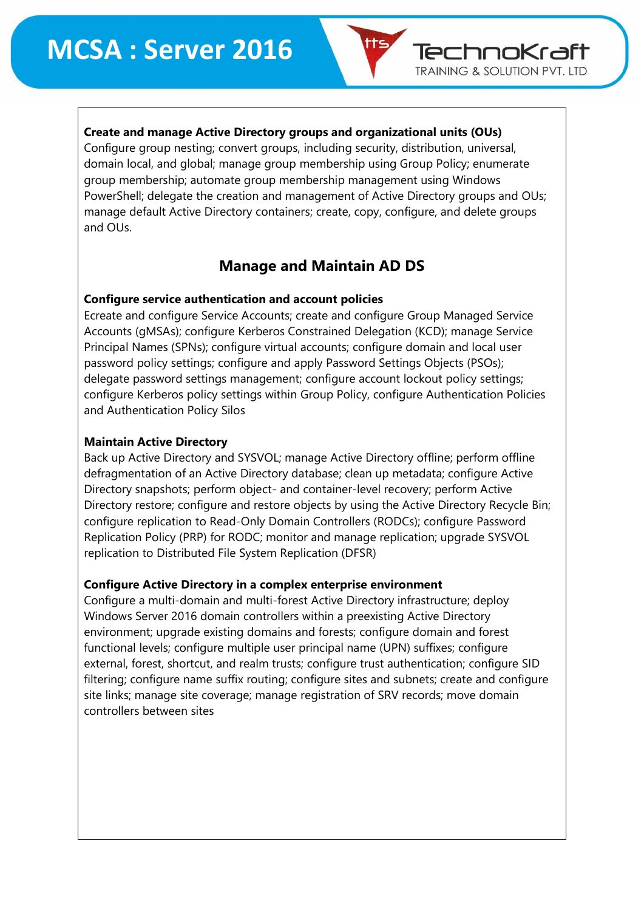#### **Create and manage Active Directory groups and organizational units (OUs)**

Configure group nesting; convert groups, including security, distribution, universal, domain local, and global; manage group membership using Group Policy; enumerate group membership; automate group membership management using Windows PowerShell; delegate the creation and management of Active Directory groups and OUs; manage default Active Directory containers; create, copy, configure, and delete groups and OUs.

TechnoKraft **TRAINING & SOLUTION PVT. LTD** 

# **Manage and Maintain AD DS**

#### **Configure service authentication and account policies**

Ecreate and configure Service Accounts; create and configure Group Managed Service Accounts (gMSAs); configure Kerberos Constrained Delegation (KCD); manage Service Principal Names (SPNs); configure virtual accounts; configure domain and local user password policy settings; configure and apply Password Settings Objects (PSOs); delegate password settings management; configure account lockout policy settings; configure Kerberos policy settings within Group Policy, configure Authentication Policies and Authentication Policy Silos

#### **Maintain Active Directory**

Back up Active Directory and SYSVOL; manage Active Directory offline; perform offline defragmentation of an Active Directory database; clean up metadata; configure Active Directory snapshots; perform object- and container-level recovery; perform Active Directory restore; configure and restore objects by using the Active Directory Recycle Bin; configure replication to Read-Only Domain Controllers (RODCs); configure Password Replication Policy (PRP) for RODC; monitor and manage replication; upgrade SYSVOL replication to Distributed File System Replication (DFSR)

#### **Configure Active Directory in a complex enterprise environment**

Configure a multi-domain and multi-forest Active Directory infrastructure; deploy Windows Server 2016 domain controllers within a preexisting Active Directory environment; upgrade existing domains and forests; configure domain and forest functional levels; configure multiple user principal name (UPN) suffixes; configure external, forest, shortcut, and realm trusts; configure trust authentication; configure SID filtering; configure name suffix routing; configure sites and subnets; create and configure site links; manage site coverage; manage registration of SRV records; move domain controllers between sites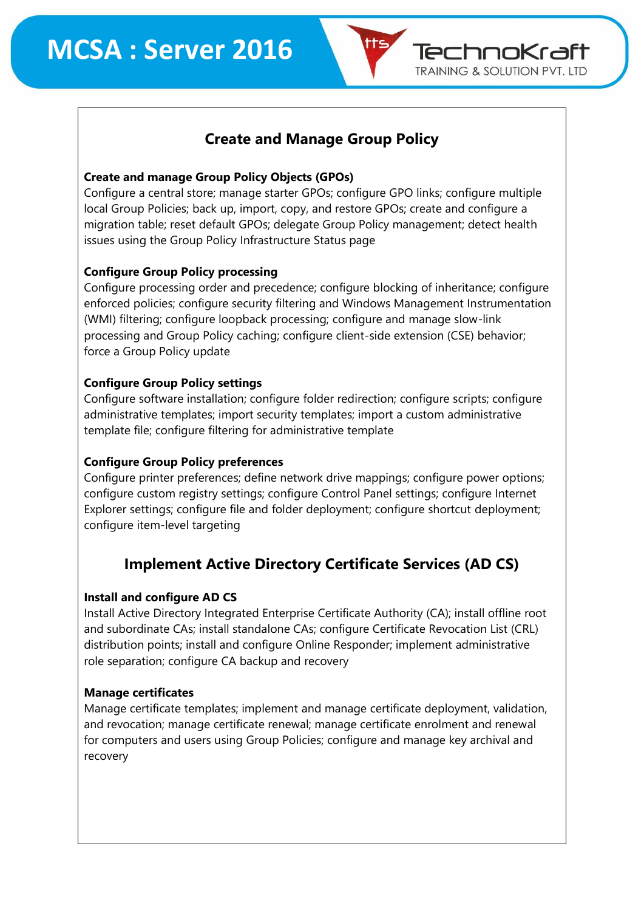

# **Create and Manage Group Policy**

#### **Create and manage Group Policy Objects (GPOs)**

Configure a central store; manage starter GPOs; configure GPO links; configure multiple local Group Policies; back up, import, copy, and restore GPOs; create and configure a migration table; reset default GPOs; delegate Group Policy management; detect health issues using the Group Policy Infrastructure Status page

#### **Configure Group Policy processing**

Configure processing order and precedence; configure blocking of inheritance; configure enforced policies; configure security filtering and Windows Management Instrumentation (WMI) filtering; configure loopback processing; configure and manage slow-link processing and Group Policy caching; configure client-side extension (CSE) behavior; force a Group Policy update

#### **Configure Group Policy settings**

Configure software installation; configure folder redirection; configure scripts; configure administrative templates; import security templates; import a custom administrative template file; configure filtering for administrative template

#### **Configure Group Policy preferences**

Configure printer preferences; define network drive mappings; configure power options; configure custom registry settings; configure Control Panel settings; configure Internet Explorer settings; configure file and folder deployment; configure shortcut deployment; configure item-level targeting

# **Implement Active Directory Certificate Services (AD CS)**

#### **Install and configure AD CS**

Install Active Directory Integrated Enterprise Certificate Authority (CA); install offline root and subordinate CAs; install standalone CAs; configure Certificate Revocation List (CRL) distribution points; install and configure Online Responder; implement administrative role separation; configure CA backup and recovery

#### **Manage certificates**

Manage certificate templates; implement and manage certificate deployment, validation, and revocation; manage certificate renewal; manage certificate enrolment and renewal for computers and users using Group Policies; configure and manage key archival and recovery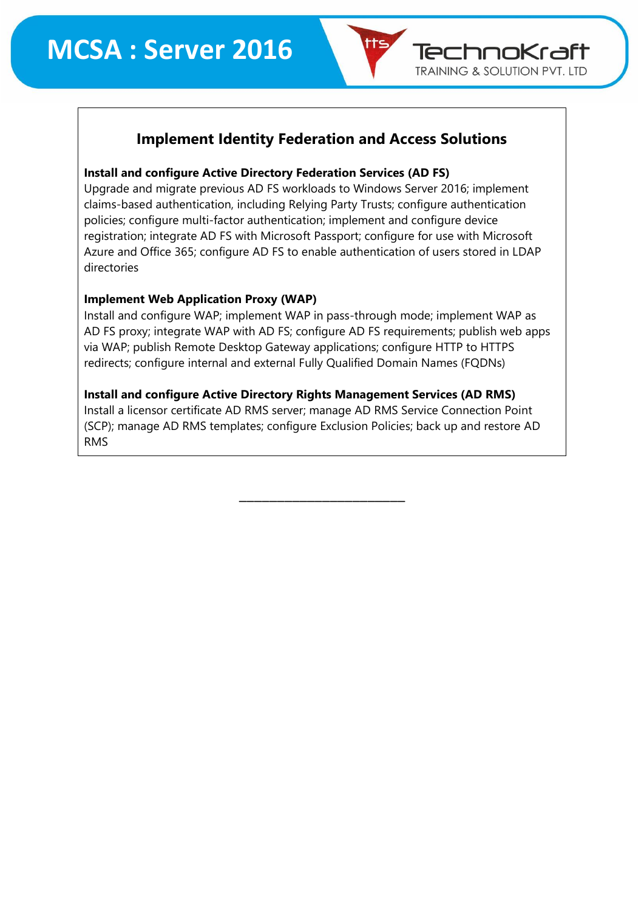

# **Implement Identity Federation and Access Solutions**

#### **Install and configure Active Directory Federation Services (AD FS)**

Upgrade and migrate previous AD FS workloads to Windows Server 2016; implement claims-based authentication, including Relying Party Trusts; configure authentication policies; configure multi-factor authentication; implement and configure device registration; integrate AD FS with Microsoft Passport; configure for use with Microsoft Azure and Office 365; configure AD FS to enable authentication of users stored in LDAP directories

#### **Implement Web Application Proxy (WAP)**

Install and configure WAP; implement WAP in pass-through mode; implement WAP as AD FS proxy; integrate WAP with AD FS; configure AD FS requirements; publish web apps via WAP; publish Remote Desktop Gateway applications; configure HTTP to HTTPS redirects; configure internal and external Fully Qualified Domain Names (FQDNs)

#### **Install and configure Active Directory Rights Management Services (AD RMS)**

Install a licensor certificate AD RMS server; manage AD RMS Service Connection Point (SCP); manage AD RMS templates; configure Exclusion Policies; back up and restore AD RMS

\_\_\_\_\_\_\_\_\_\_\_\_\_\_\_\_\_\_\_\_\_\_